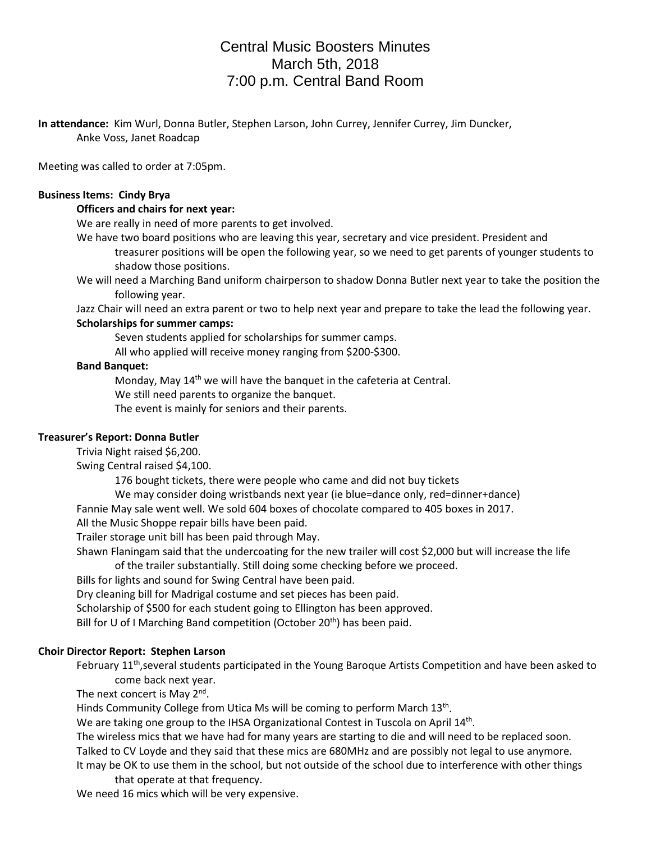# Central Music Boosters Minutes March 5th, 2018 7:00 p.m. Central Band Room

**In attendance:** Kim Wurl, Donna Butler, Stephen Larson, John Currey, Jennifer Currey, Jim Duncker, Anke Voss, Janet Roadcap

Meeting was called to order at 7:05pm.

## **Business Items: Cindy Brya**

#### **Officers and chairs for next year:**

We are really in need of more parents to get involved.

- We have two board positions who are leaving this year, secretary and vice president. President and treasurer positions will be open the following year, so we need to get parents of younger students to shadow those positions.
- We will need a Marching Band uniform chairperson to shadow Donna Butler next year to take the position the following year.

Jazz Chair will need an extra parent or two to help next year and prepare to take the lead the following year.

#### **Scholarships for summer camps:**

Seven students applied for scholarships for summer camps.

All who applied will receive money ranging from \$200-\$300.

#### **Band Banquet:**

Monday, May  $14<sup>th</sup>$  we will have the banquet in the cafeteria at Central.

We still need parents to organize the banquet.

The event is mainly for seniors and their parents.

## **Treasurer's Report: Donna Butler**

Trivia Night raised \$6,200.

Swing Central raised \$4,100.

176 bought tickets, there were people who came and did not buy tickets

We may consider doing wristbands next year (ie blue=dance only, red=dinner+dance)

Fannie May sale went well. We sold 604 boxes of chocolate compared to 405 boxes in 2017.

All the Music Shoppe repair bills have been paid.

Trailer storage unit bill has been paid through May.

Shawn Flaningam said that the undercoating for the new trailer will cost \$2,000 but will increase the life of the trailer substantially. Still doing some checking before we proceed.

Bills for lights and sound for Swing Central have been paid.

Dry cleaning bill for Madrigal costume and set pieces has been paid.

Scholarship of \$500 for each student going to Ellington has been approved.

Bill for U of I Marching Band competition (October 20<sup>th</sup>) has been paid.

## **Choir Director Report: Stephen Larson**

February 11<sup>th</sup>, several students participated in the Young Baroque Artists Competition and have been asked to come back next year.

The next concert is May 2<sup>nd</sup>.

Hinds Community College from Utica Ms will be coming to perform March 13th.

We are taking one group to the IHSA Organizational Contest in Tuscola on April 14<sup>th</sup>.

The wireless mics that we have had for many years are starting to die and will need to be replaced soon. Talked to CV Loyde and they said that these mics are 680MHz and are possibly not legal to use anymore.

It may be OK to use them in the school, but not outside of the school due to interference with other things that operate at that frequency.

We need 16 mics which will be very expensive.